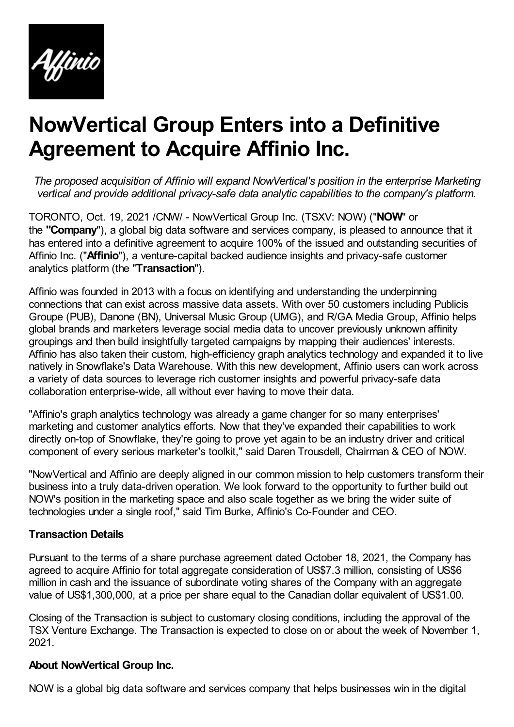

## **NowVertical Group Enters into a Definitive Agreement to Acquire Affinio Inc.**

*The proposed acquisition of Affinio will expand NowVertical's position in the enterprise Marketing vertical and provide additional privacy-safe data analytic capabilities to the company's platform.*

TORONTO, Oct. 19, 2021 /CNW/ - NowVertical Group Inc. (TSXV: NOW) ("**NOW**" or the **"Company**"), a global big data software and services company, is pleased to announce that it has entered into a definitive agreement to acquire 100% of the issued and outstanding securities of Affinio Inc. ("**Affinio**"), a venture-capital backed audience insights and privacy-safe customer analytics platform (the "**Transaction**").

Affinio was founded in 2013 with a focus on identifying and understanding the underpinning connections that can exist across massive data assets. With over 50 customers including Publicis Groupe (PUB), Danone (BN), Universal Music Group (UMG), and R/GA Media Group, Affinio helps global brands and marketers leverage social media data to uncover previously unknown affinity groupings and then build insightfully targeted campaigns by mapping their audiences' interests. Affinio has also taken their custom, high-efficiency graph analytics technology and expanded it to live natively in Snowflake's Data Warehouse. With this new development, Affinio users can work across a variety of data sources to leverage rich customer insights and powerful privacy-safe data collaboration enterprise-wide, all without ever having to move their data.

"Affinio's graph analytics technology was already a game changer for so many enterprises' marketing and customer analytics efforts. Now that they've expanded their capabilities to work directly on-top of Snowflake, they're going to prove yet again to be an industry driver and critical component of every serious marketer's toolkit," said Daren Trousdell, Chairman & CEO of NOW.

"NowVertical and Affinio are deeply aligned in our common mission to help customers transform their business into a truly data-driven operation. We look forward to the opportunity to further build out NOW's position in the marketing space and also scale together as we bring the wider suite of technologies under a single roof," said Tim Burke, Affinio's Co-Founder and CEO.

## **Transaction Details**

Pursuant to the terms of a share purchase agreement dated October 18, 2021, the Company has agreed to acquire Affinio for total aggregate consideration of US\$7.3 million, consisting of US\$6 million in cash and the issuance of subordinate voting shares of the Company with an aggregate value of US\$1,300,000, at a price per share equal to the Canadian dollar equivalent of US\$1.00.

Closing of the Transaction is subject to customary closing conditions, including the approval of the TSX Venture Exchange. The Transaction is expected to close on or about the week of November 1, 2021.

## **About NowVertical Group Inc.**

NOW is a global big data software and services company that helps businesses win in the digital